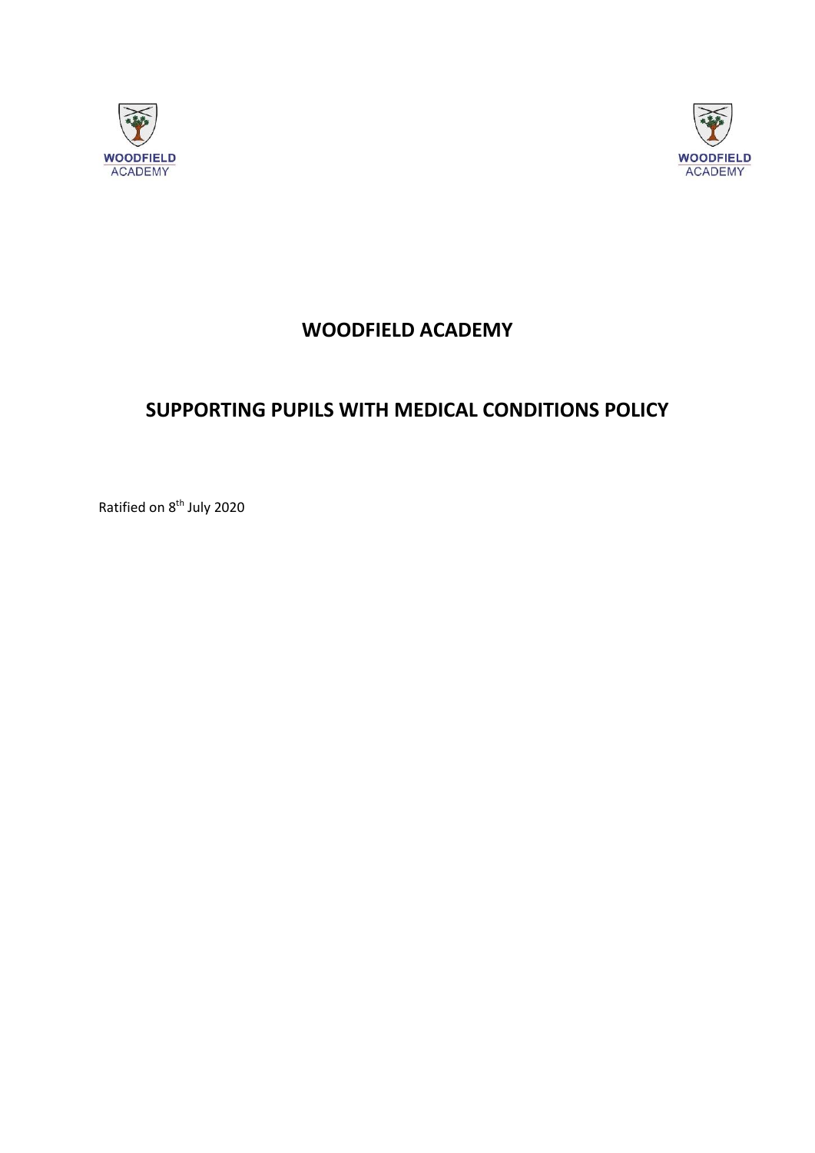



## **WOODFIELD ACADEMY**

## **SUPPORTING PUPILS WITH MEDICAL CONDITIONS POLICY**

Ratified on 8<sup>th</sup> July 2020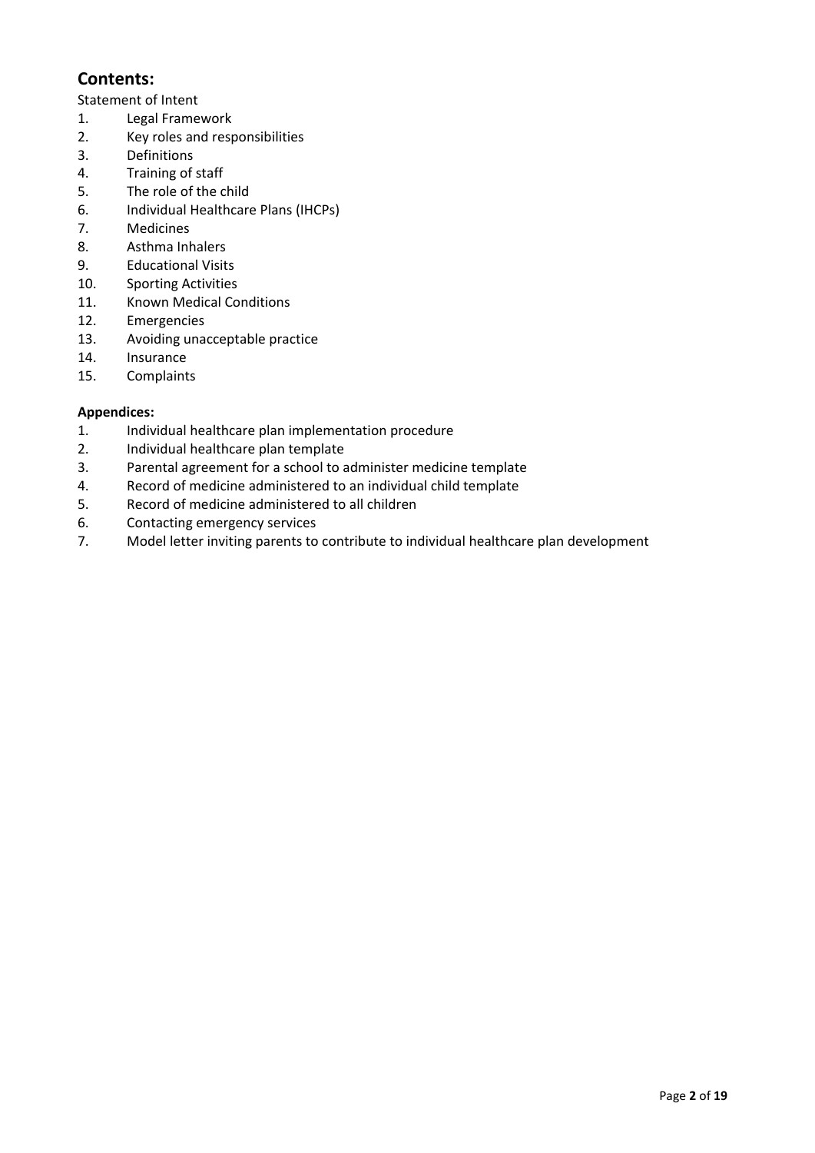### **Contents:**

Statement of Intent

- 1. Legal Framework
- 2. Key roles and responsibilities
- 3. Definitions
- 4. Training of staff
- 5. The role of the child
- 6. Individual Healthcare Plans (IHCPs)
- 7. Medicines
- 8. Asthma Inhalers
- 9. Educational Visits
- 10. Sporting Activities
- 11. Known Medical Conditions
- 12. Emergencies
- 13. Avoiding unacceptable practice
- 14. Insurance
- 15. Complaints

#### **Appendices:**

- 1. Individual healthcare plan implementation procedure
- 2. Individual healthcare plan template
- 3. Parental agreement for a school to administer medicine template
- 4. Record of medicine administered to an individual child template
- 5. Record of medicine administered to all children
- 6. Contacting emergency services
- 7. Model letter inviting parents to contribute to individual healthcare plan development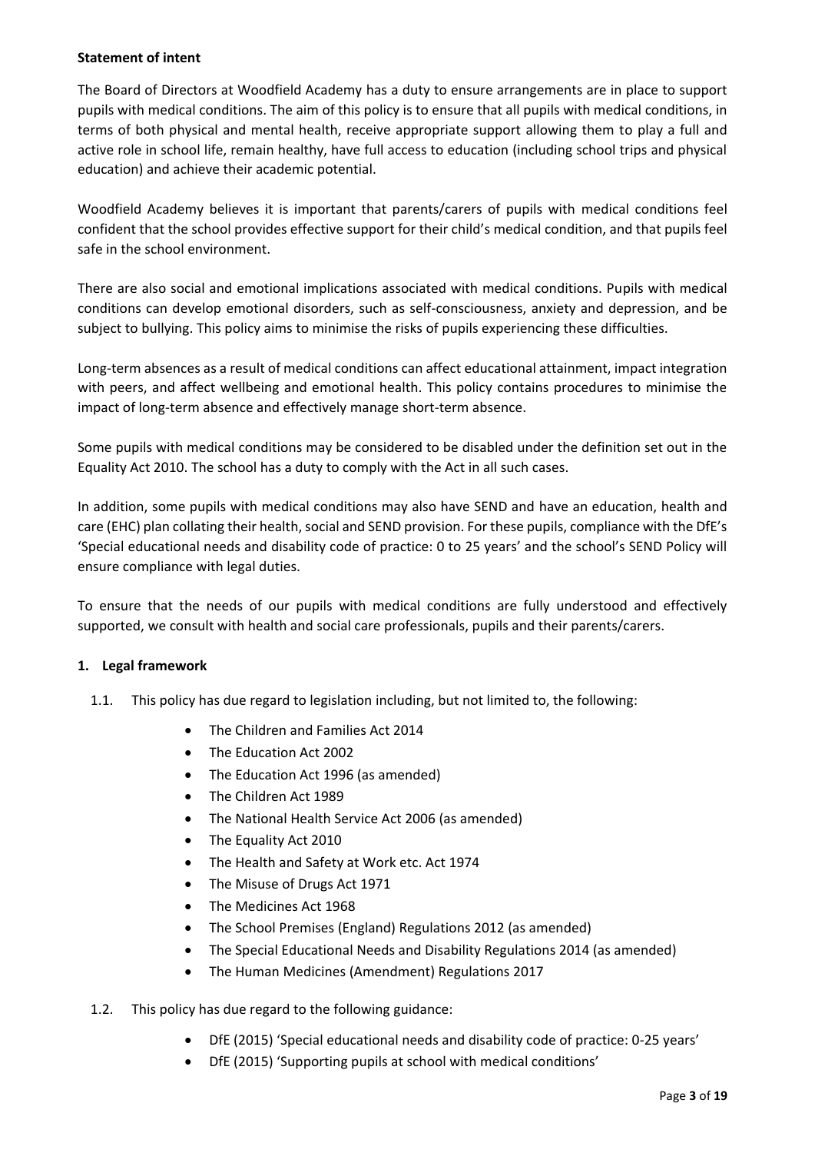#### **Statement of intent**

The Board of Directors at Woodfield Academy has a duty to ensure arrangements are in place to support pupils with medical conditions. The aim of this policy is to ensure that all pupils with medical conditions, in terms of both physical and mental health, receive appropriate support allowing them to play a full and active role in school life, remain healthy, have full access to education (including school trips and physical education) and achieve their academic potential.

Woodfield Academy believes it is important that parents/carers of pupils with medical conditions feel confident that the school provides effective support for their child's medical condition, and that pupils feel safe in the school environment.

There are also social and emotional implications associated with medical conditions. Pupils with medical conditions can develop emotional disorders, such as self-consciousness, anxiety and depression, and be subject to bullying. This policy aims to minimise the risks of pupils experiencing these difficulties.

Long-term absences as a result of medical conditions can affect educational attainment, impact integration with peers, and affect wellbeing and emotional health. This policy contains procedures to minimise the impact of long-term absence and effectively manage short-term absence.

Some pupils with medical conditions may be considered to be disabled under the definition set out in the Equality Act 2010. The school has a duty to comply with the Act in all such cases.

In addition, some pupils with medical conditions may also have SEND and have an education, health and care (EHC) plan collating their health, social and SEND provision. For these pupils, compliance with the DfE's 'Special educational needs and disability code of practice: 0 to 25 years' and the school's SEND Policy will ensure compliance with legal duties.

To ensure that the needs of our pupils with medical conditions are fully understood and effectively supported, we consult with health and social care professionals, pupils and their parents/carers.

#### **1. Legal framework**

- 1.1. This policy has due regard to legislation including, but not limited to, the following:
	- The Children and Families Act 2014
	- The Education Act 2002
	- The Education Act 1996 (as amended)
	- The Children Act 1989
	- The National Health Service Act 2006 (as amended)
	- The Equality Act 2010
	- The Health and Safety at Work etc. Act 1974
	- The Misuse of Drugs Act 1971
	- The Medicines Act 1968
	- The School Premises (England) Regulations 2012 (as amended)
	- The Special Educational Needs and Disability Regulations 2014 (as amended)
	- The Human Medicines (Amendment) Regulations 2017
- 1.2. This policy has due regard to the following guidance:
	- DfE (2015) 'Special educational needs and disability code of practice: 0-25 years'
	- DfE (2015) 'Supporting pupils at school with medical conditions'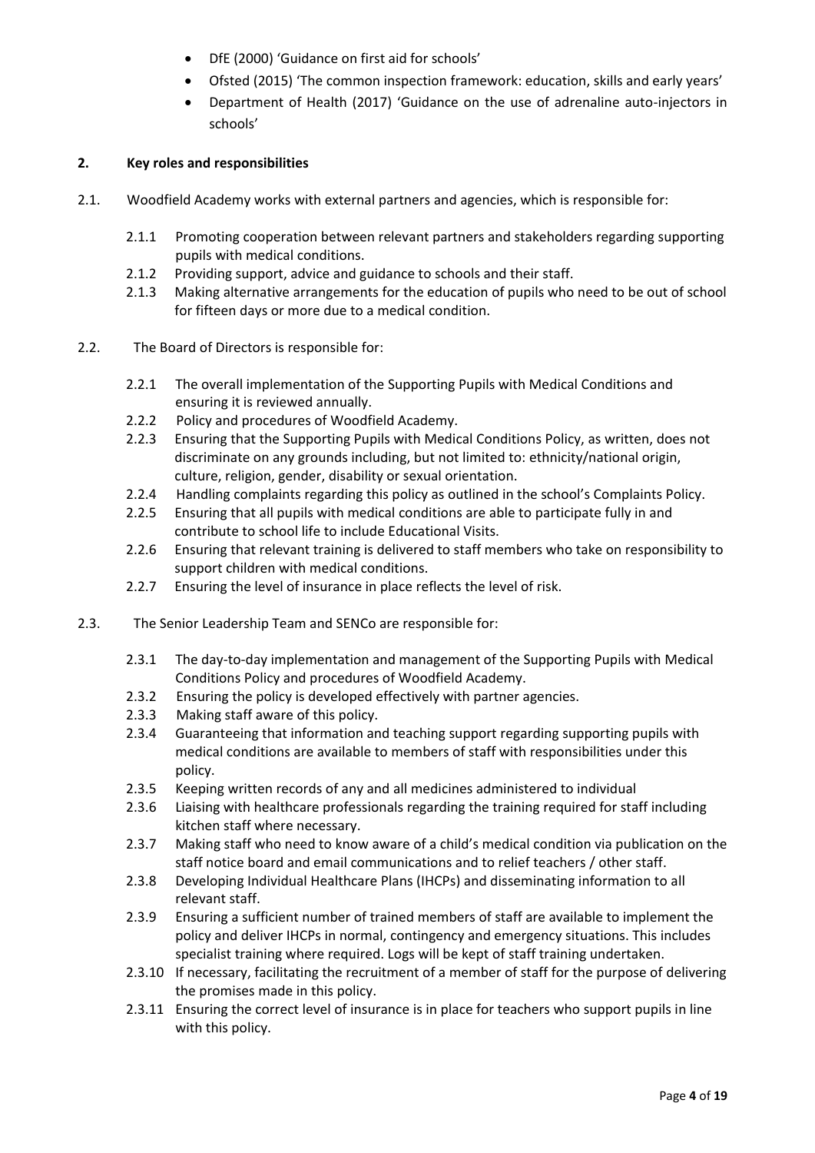- DfE (2000) 'Guidance on first aid for schools'
- Ofsted (2015) 'The common inspection framework: education, skills and early years'
- Department of Health (2017) 'Guidance on the use of adrenaline auto-injectors in schools'

#### **2. Key roles and responsibilities**

- 2.1. Woodfield Academy works with external partners and agencies, which is responsible for:
	- 2.1.1 Promoting cooperation between relevant partners and stakeholders regarding supporting pupils with medical conditions.
	- 2.1.2 Providing support, advice and guidance to schools and their staff.
	- 2.1.3 Making alternative arrangements for the education of pupils who need to be out of school for fifteen days or more due to a medical condition.
- 2.2. The Board of Directors is responsible for:
	- 2.2.1 The overall implementation of the Supporting Pupils with Medical Conditions and ensuring it is reviewed annually.
	- 2.2.2 Policy and procedures of Woodfield Academy.
	- 2.2.3 Ensuring that the Supporting Pupils with Medical Conditions Policy, as written, does not discriminate on any grounds including, but not limited to: ethnicity/national origin, culture, religion, gender, disability or sexual orientation.
	- 2.2.4 Handling complaints regarding this policy as outlined in the school's Complaints Policy.
	- 2.2.5 Ensuring that all pupils with medical conditions are able to participate fully in and contribute to school life to include Educational Visits.
	- 2.2.6 Ensuring that relevant training is delivered to staff members who take on responsibility to support children with medical conditions.
	- 2.2.7 Ensuring the level of insurance in place reflects the level of risk.
- 2.3. The Senior Leadership Team and SENCo are responsible for:
	- 2.3.1 The day-to-day implementation and management of the Supporting Pupils with Medical Conditions Policy and procedures of Woodfield Academy.
	- 2.3.2 Ensuring the policy is developed effectively with partner agencies.
	- 2.3.3 Making staff aware of this policy.
	- 2.3.4 Guaranteeing that information and teaching support regarding supporting pupils with medical conditions are available to members of staff with responsibilities under this policy.
	- 2.3.5 Keeping written records of any and all medicines administered to individual
	- 2.3.6 Liaising with healthcare professionals regarding the training required for staff including kitchen staff where necessary.
	- 2.3.7 Making staff who need to know aware of a child's medical condition via publication on the staff notice board and email communications and to relief teachers / other staff.
	- 2.3.8 Developing Individual Healthcare Plans (IHCPs) and disseminating information to all relevant staff.
	- 2.3.9 Ensuring a sufficient number of trained members of staff are available to implement the policy and deliver IHCPs in normal, contingency and emergency situations. This includes specialist training where required. Logs will be kept of staff training undertaken.
	- 2.3.10 If necessary, facilitating the recruitment of a member of staff for the purpose of delivering the promises made in this policy.
	- 2.3.11 Ensuring the correct level of insurance is in place for teachers who support pupils in line with this policy.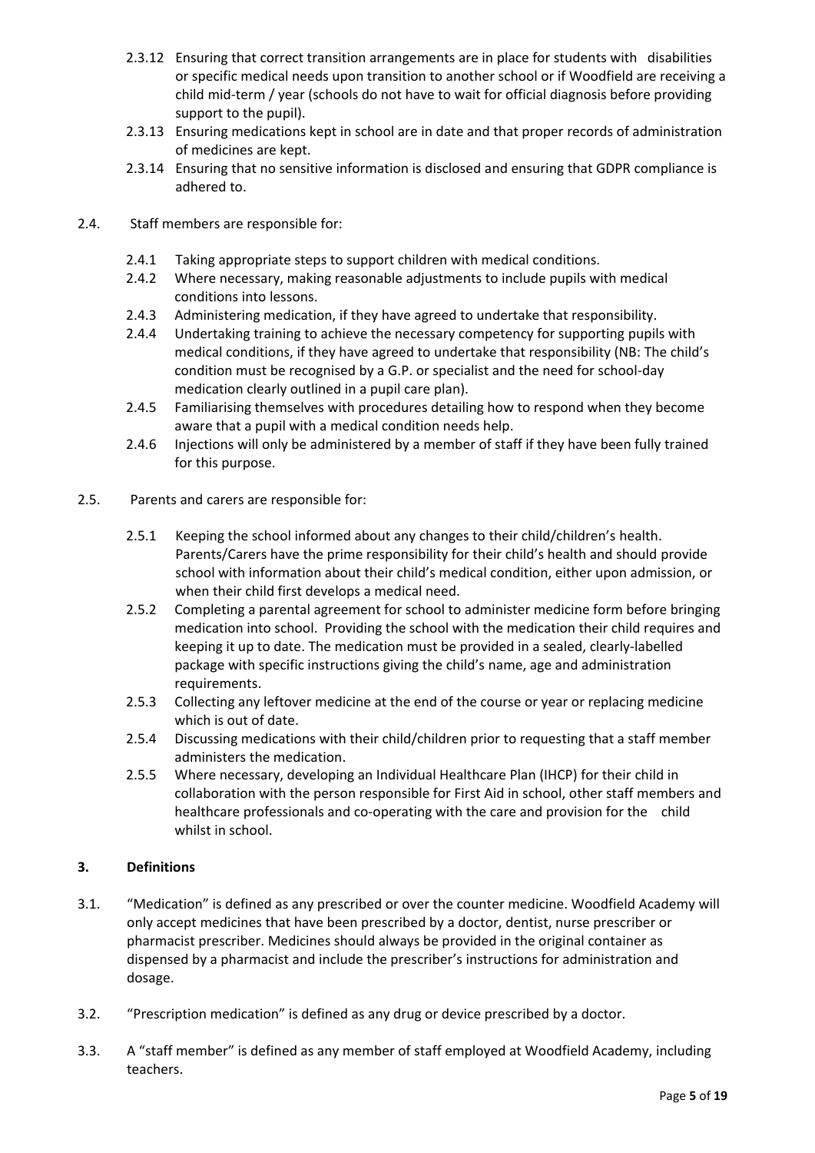- 2.3.12 Ensuring that correct transition arrangements are in place for students with disabilities or specific medical needs upon transition to another school or if Woodfield are receiving a child mid-term / year (schools do not have to wait for official diagnosis before providing support to the pupil).
- 2.3.13 Ensuring medications kept in school are in date and that proper records of administration of medicines are kept.
- 2.3.14 Ensuring that no sensitive information is disclosed and ensuring that GDPR compliance is adhered to.
- 2.4. Staff members are responsible for:
	- 2.4.1 Taking appropriate steps to support children with medical conditions.
	- 2.4.2 Where necessary, making reasonable adjustments to include pupils with medical conditions into lessons.
	- 2.4.3 Administering medication, if they have agreed to undertake that responsibility.
	- 2.4.4 Undertaking training to achieve the necessary competency for supporting pupils with medical conditions, if they have agreed to undertake that responsibility (NB: The child's condition must be recognised by a G.P. or specialist and the need for school-day medication clearly outlined in a pupil care plan).
	- 2.4.5 Familiarising themselves with procedures detailing how to respond when they become aware that a pupil with a medical condition needs help.
	- 2.4.6 Injections will only be administered by a member of staff if they have been fully trained for this purpose.
- 2.5. Parents and carers are responsible for:
	- 2.5.1 Keeping the school informed about any changes to their child/children's health. Parents/Carers have the prime responsibility for their child's health and should provide school with information about their child's medical condition, either upon admission, or when their child first develops a medical need.
	- 2.5.2 Completing a parental agreement for school to administer medicine form before bringing medication into school. Providing the school with the medication their child requires and keeping it up to date. The medication must be provided in a sealed, clearly-labelled package with specific instructions giving the child's name, age and administration requirements.
	- 2.5.3 Collecting any leftover medicine at the end of the course or year or replacing medicine which is out of date.
	- 2.5.4 Discussing medications with their child/children prior to requesting that a staff member administers the medication.
	- 2.5.5 Where necessary, developing an Individual Healthcare Plan (IHCP) for their child in collaboration with the person responsible for First Aid in school, other staff members and healthcare professionals and co-operating with the care and provision for the child whilst in school.

#### **3. Definitions**

- 3.1. "Medication" is defined as any prescribed or over the counter medicine. Woodfield Academy will only accept medicines that have been prescribed by a doctor, dentist, nurse prescriber or pharmacist prescriber. Medicines should always be provided in the original container as dispensed by a pharmacist and include the prescriber's instructions for administration and dosage.
- 3.2. "Prescription medication" is defined as any drug or device prescribed by a doctor.
- 3.3. A "staff member" is defined as any member of staff employed at Woodfield Academy, including teachers.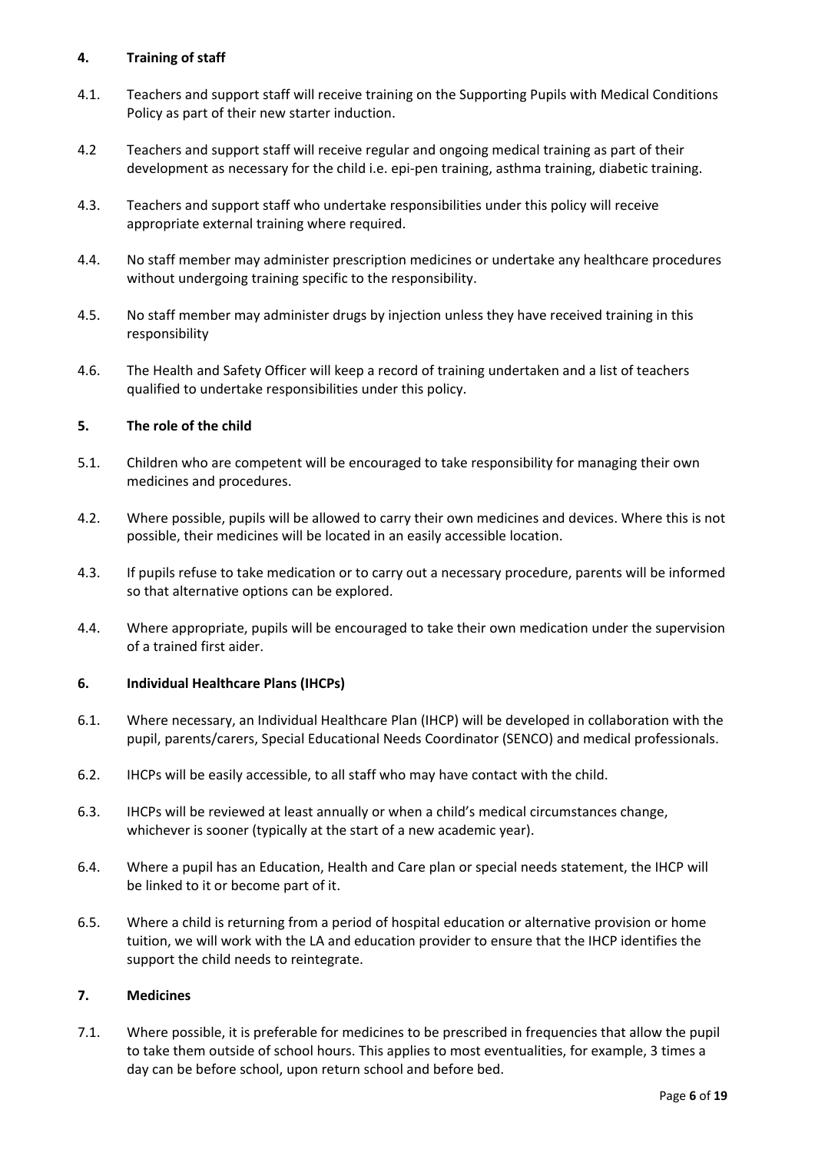#### **4. Training of staff**

- 4.1. Teachers and support staff will receive training on the Supporting Pupils with Medical Conditions Policy as part of their new starter induction.
- 4.2 Teachers and support staff will receive regular and ongoing medical training as part of their development as necessary for the child i.e. epi-pen training, asthma training, diabetic training.
- 4.3. Teachers and support staff who undertake responsibilities under this policy will receive appropriate external training where required.
- 4.4. No staff member may administer prescription medicines or undertake any healthcare procedures without undergoing training specific to the responsibility.
- 4.5. No staff member may administer drugs by injection unless they have received training in this responsibility
- 4.6. The Health and Safety Officer will keep a record of training undertaken and a list of teachers qualified to undertake responsibilities under this policy.

#### **5. The role of the child**

- 5.1. Children who are competent will be encouraged to take responsibility for managing their own medicines and procedures.
- 4.2. Where possible, pupils will be allowed to carry their own medicines and devices. Where this is not possible, their medicines will be located in an easily accessible location.
- 4.3. If pupils refuse to take medication or to carry out a necessary procedure, parents will be informed so that alternative options can be explored.
- 4.4. Where appropriate, pupils will be encouraged to take their own medication under the supervision of a trained first aider.

#### **6. Individual Healthcare Plans (IHCPs)**

- 6.1. Where necessary, an Individual Healthcare Plan (IHCP) will be developed in collaboration with the pupil, parents/carers, Special Educational Needs Coordinator (SENCO) and medical professionals.
- 6.2. IHCPs will be easily accessible, to all staff who may have contact with the child.
- 6.3. IHCPs will be reviewed at least annually or when a child's medical circumstances change, whichever is sooner (typically at the start of a new academic year).
- 6.4. Where a pupil has an Education, Health and Care plan or special needs statement, the IHCP will be linked to it or become part of it.
- 6.5. Where a child is returning from a period of hospital education or alternative provision or home tuition, we will work with the LA and education provider to ensure that the IHCP identifies the support the child needs to reintegrate.

#### **7. Medicines**

7.1. Where possible, it is preferable for medicines to be prescribed in frequencies that allow the pupil to take them outside of school hours. This applies to most eventualities, for example, 3 times a day can be before school, upon return school and before bed.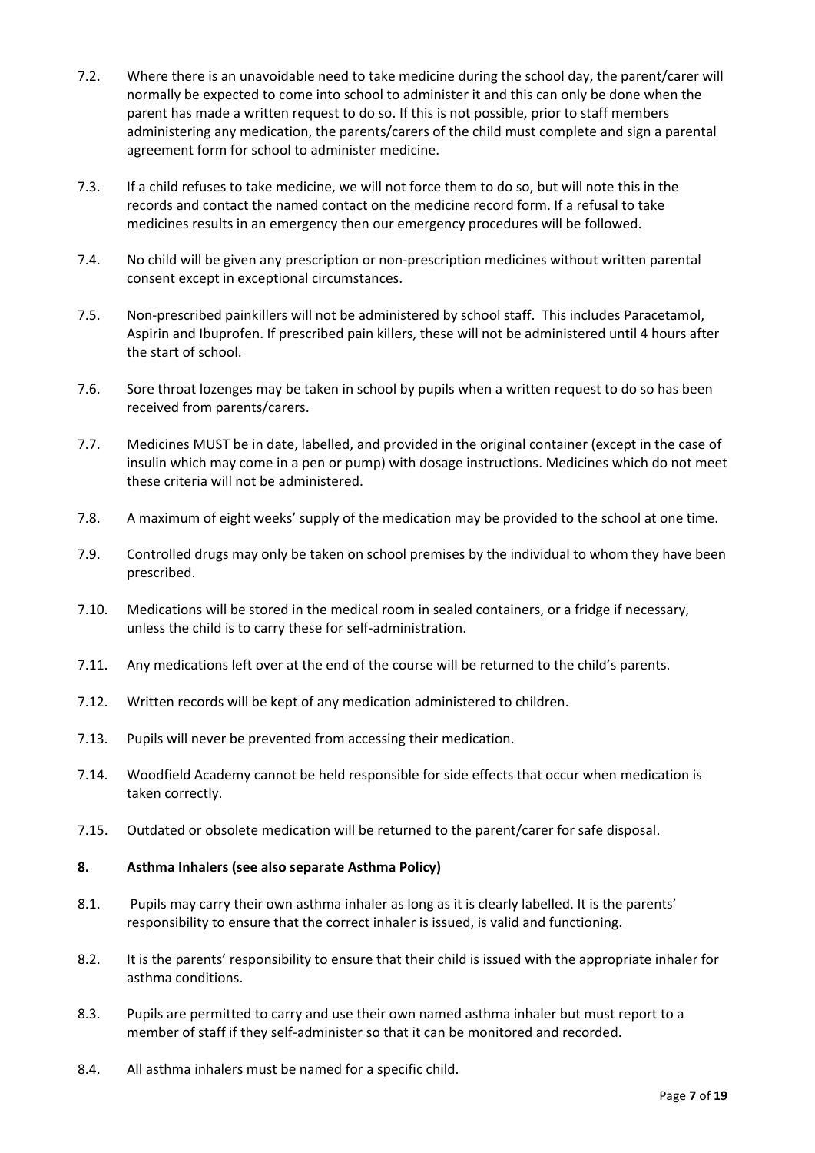- 7.2. Where there is an unavoidable need to take medicine during the school day, the parent/carer will normally be expected to come into school to administer it and this can only be done when the parent has made a written request to do so. If this is not possible, prior to staff members administering any medication, the parents/carers of the child must complete and sign a parental agreement form for school to administer medicine.
- 7.3. If a child refuses to take medicine, we will not force them to do so, but will note this in the records and contact the named contact on the medicine record form. If a refusal to take medicines results in an emergency then our emergency procedures will be followed.
- 7.4. No child will be given any prescription or non-prescription medicines without written parental consent except in exceptional circumstances.
- 7.5. Non-prescribed painkillers will not be administered by school staff. This includes Paracetamol, Aspirin and Ibuprofen. If prescribed pain killers, these will not be administered until 4 hours after the start of school.
- 7.6. Sore throat lozenges may be taken in school by pupils when a written request to do so has been received from parents/carers.
- 7.7. Medicines MUST be in date, labelled, and provided in the original container (except in the case of insulin which may come in a pen or pump) with dosage instructions. Medicines which do not meet these criteria will not be administered.
- 7.8. A maximum of eight weeks' supply of the medication may be provided to the school at one time.
- 7.9. Controlled drugs may only be taken on school premises by the individual to whom they have been prescribed.
- 7.10. Medications will be stored in the medical room in sealed containers, or a fridge if necessary, unless the child is to carry these for self-administration.
- 7.11. Any medications left over at the end of the course will be returned to the child's parents.
- 7.12. Written records will be kept of any medication administered to children.
- 7.13. Pupils will never be prevented from accessing their medication.
- 7.14. Woodfield Academy cannot be held responsible for side effects that occur when medication is taken correctly.
- 7.15. Outdated or obsolete medication will be returned to the parent/carer for safe disposal.

#### **8. Asthma Inhalers (see also separate Asthma Policy)**

- 8.1. Pupils may carry their own asthma inhaler as long as it is clearly labelled. It is the parents' responsibility to ensure that the correct inhaler is issued, is valid and functioning.
- 8.2. It is the parents' responsibility to ensure that their child is issued with the appropriate inhaler for asthma conditions.
- 8.3. Pupils are permitted to carry and use their own named asthma inhaler but must report to a member of staff if they self-administer so that it can be monitored and recorded.
- 8.4. All asthma inhalers must be named for a specific child.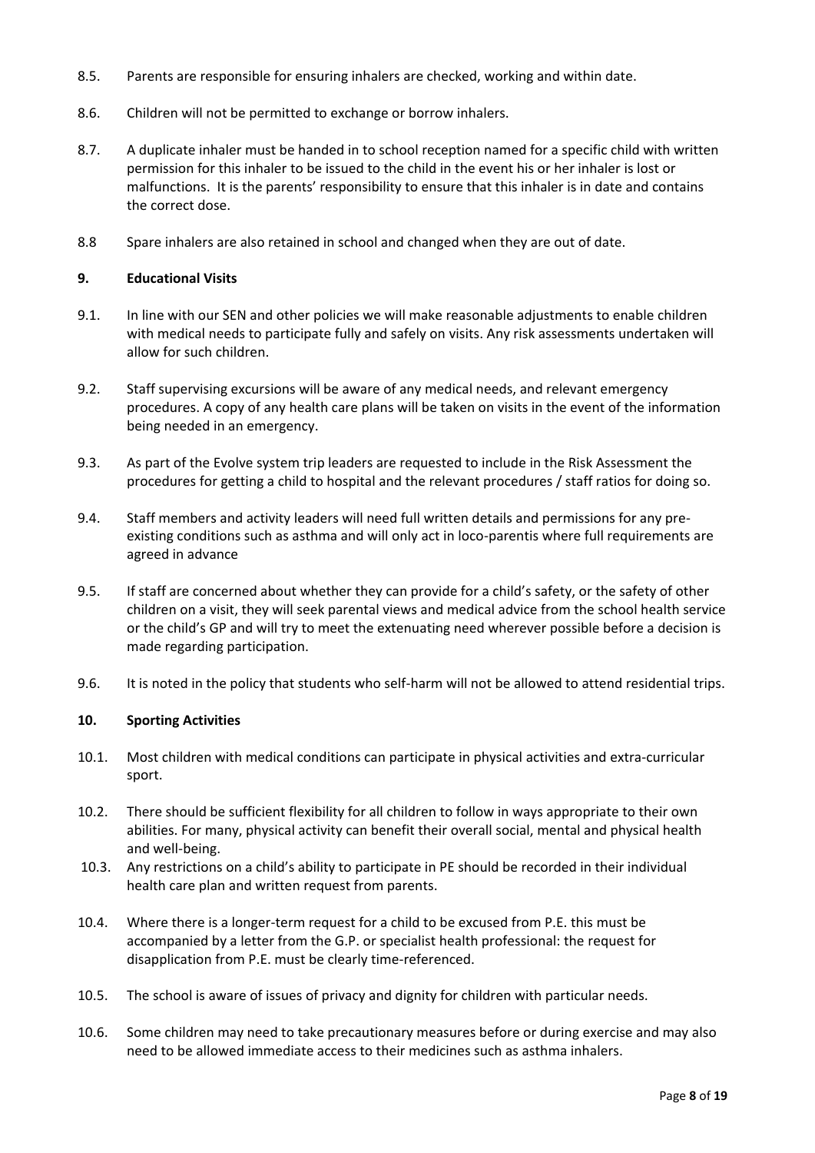- 8.5. Parents are responsible for ensuring inhalers are checked, working and within date.
- 8.6. Children will not be permitted to exchange or borrow inhalers.
- 8.7. A duplicate inhaler must be handed in to school reception named for a specific child with written permission for this inhaler to be issued to the child in the event his or her inhaler is lost or malfunctions. It is the parents' responsibility to ensure that this inhaler is in date and contains the correct dose.
- 8.8 Spare inhalers are also retained in school and changed when they are out of date.

#### **9. Educational Visits**

- 9.1. In line with our SEN and other policies we will make reasonable adjustments to enable children with medical needs to participate fully and safely on visits. Any risk assessments undertaken will allow for such children.
- 9.2. Staff supervising excursions will be aware of any medical needs, and relevant emergency procedures. A copy of any health care plans will be taken on visits in the event of the information being needed in an emergency.
- 9.3. As part of the Evolve system trip leaders are requested to include in the Risk Assessment the procedures for getting a child to hospital and the relevant procedures / staff ratios for doing so.
- 9.4. Staff members and activity leaders will need full written details and permissions for any preexisting conditions such as asthma and will only act in loco-parentis where full requirements are agreed in advance
- 9.5. If staff are concerned about whether they can provide for a child's safety, or the safety of other children on a visit, they will seek parental views and medical advice from the school health service or the child's GP and will try to meet the extenuating need wherever possible before a decision is made regarding participation.
- 9.6. It is noted in the policy that students who self-harm will not be allowed to attend residential trips.

#### **10. Sporting Activities**

- 10.1. Most children with medical conditions can participate in physical activities and extra-curricular sport.
- 10.2. There should be sufficient flexibility for all children to follow in ways appropriate to their own abilities. For many, physical activity can benefit their overall social, mental and physical health and well-being.
- 10.3. Any restrictions on a child's ability to participate in PE should be recorded in their individual health care plan and written request from parents.
- 10.4. Where there is a longer-term request for a child to be excused from P.E. this must be accompanied by a letter from the G.P. or specialist health professional: the request for disapplication from P.E. must be clearly time-referenced.
- 10.5. The school is aware of issues of privacy and dignity for children with particular needs.
- 10.6. Some children may need to take precautionary measures before or during exercise and may also need to be allowed immediate access to their medicines such as asthma inhalers.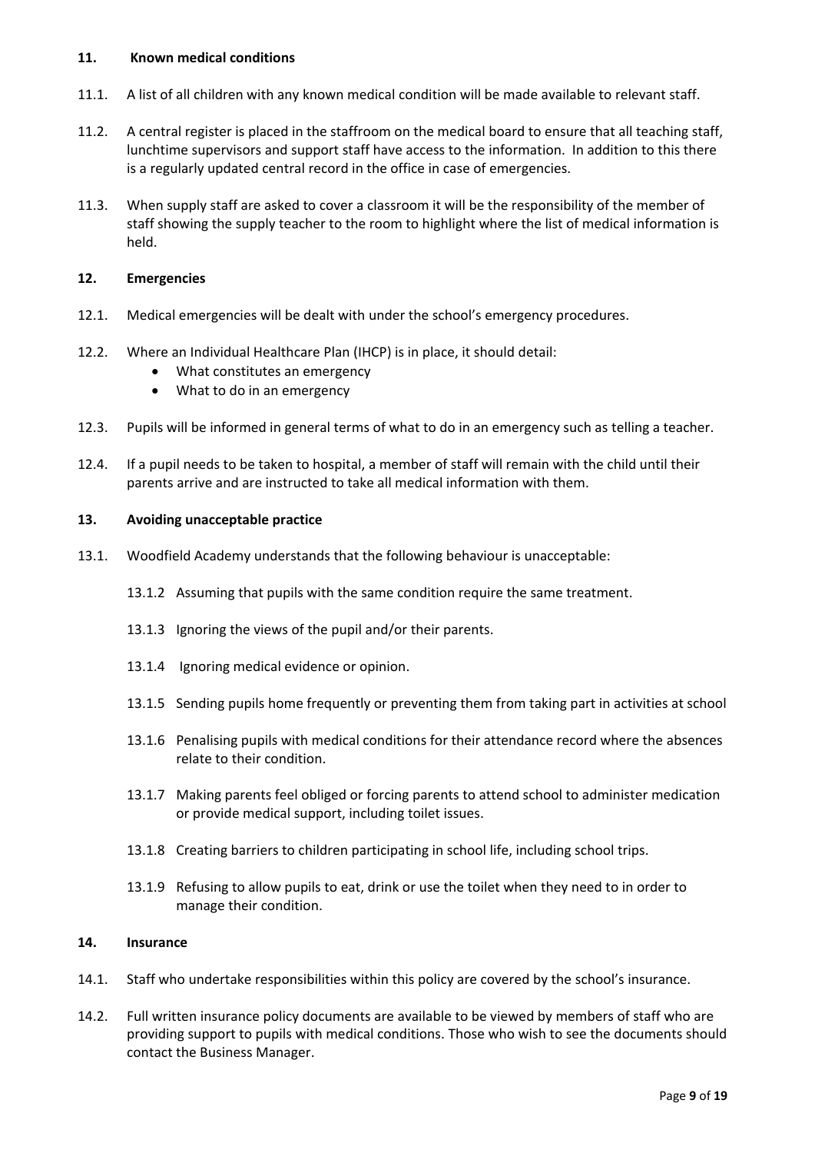#### **11. Known medical conditions**

- 11.1. A list of all children with any known medical condition will be made available to relevant staff.
- 11.2. A central register is placed in the staffroom on the medical board to ensure that all teaching staff, lunchtime supervisors and support staff have access to the information. In addition to this there is a regularly updated central record in the office in case of emergencies.
- 11.3. When supply staff are asked to cover a classroom it will be the responsibility of the member of staff showing the supply teacher to the room to highlight where the list of medical information is held.

#### **12. Emergencies**

- 12.1. Medical emergencies will be dealt with under the school's emergency procedures.
- 12.2. Where an Individual Healthcare Plan (IHCP) is in place, it should detail:
	- What constitutes an emergency
	- What to do in an emergency
- 12.3. Pupils will be informed in general terms of what to do in an emergency such as telling a teacher.
- 12.4. If a pupil needs to be taken to hospital, a member of staff will remain with the child until their parents arrive and are instructed to take all medical information with them.

#### **13. Avoiding unacceptable practice**

- 13.1. Woodfield Academy understands that the following behaviour is unacceptable:
	- 13.1.2 Assuming that pupils with the same condition require the same treatment.
	- 13.1.3 Ignoring the views of the pupil and/or their parents.
	- 13.1.4 Ignoring medical evidence or opinion.
	- 13.1.5 Sending pupils home frequently or preventing them from taking part in activities at school
	- 13.1.6 Penalising pupils with medical conditions for their attendance record where the absences relate to their condition.
	- 13.1.7 Making parents feel obliged or forcing parents to attend school to administer medication or provide medical support, including toilet issues.
	- 13.1.8 Creating barriers to children participating in school life, including school trips.
	- 13.1.9 Refusing to allow pupils to eat, drink or use the toilet when they need to in order to manage their condition.

#### **14. Insurance**

- 14.1. Staff who undertake responsibilities within this policy are covered by the school's insurance.
- 14.2. Full written insurance policy documents are available to be viewed by members of staff who are providing support to pupils with medical conditions. Those who wish to see the documents should contact the Business Manager.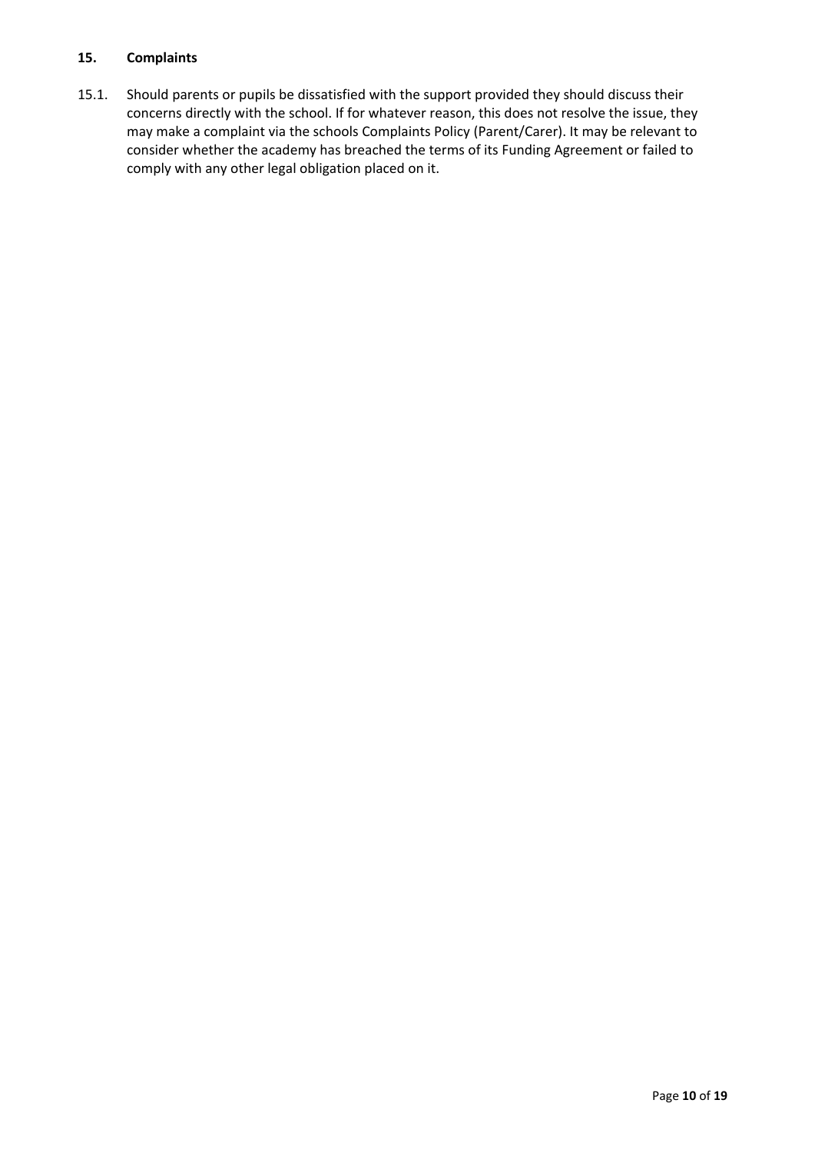#### **15. Complaints**

15.1. Should parents or pupils be dissatisfied with the support provided they should discuss their concerns directly with the school. If for whatever reason, this does not resolve the issue, they may make a complaint via the schools Complaints Policy (Parent/Carer). It may be relevant to consider whether the academy has breached the terms of its Funding Agreement or failed to comply with any other legal obligation placed on it.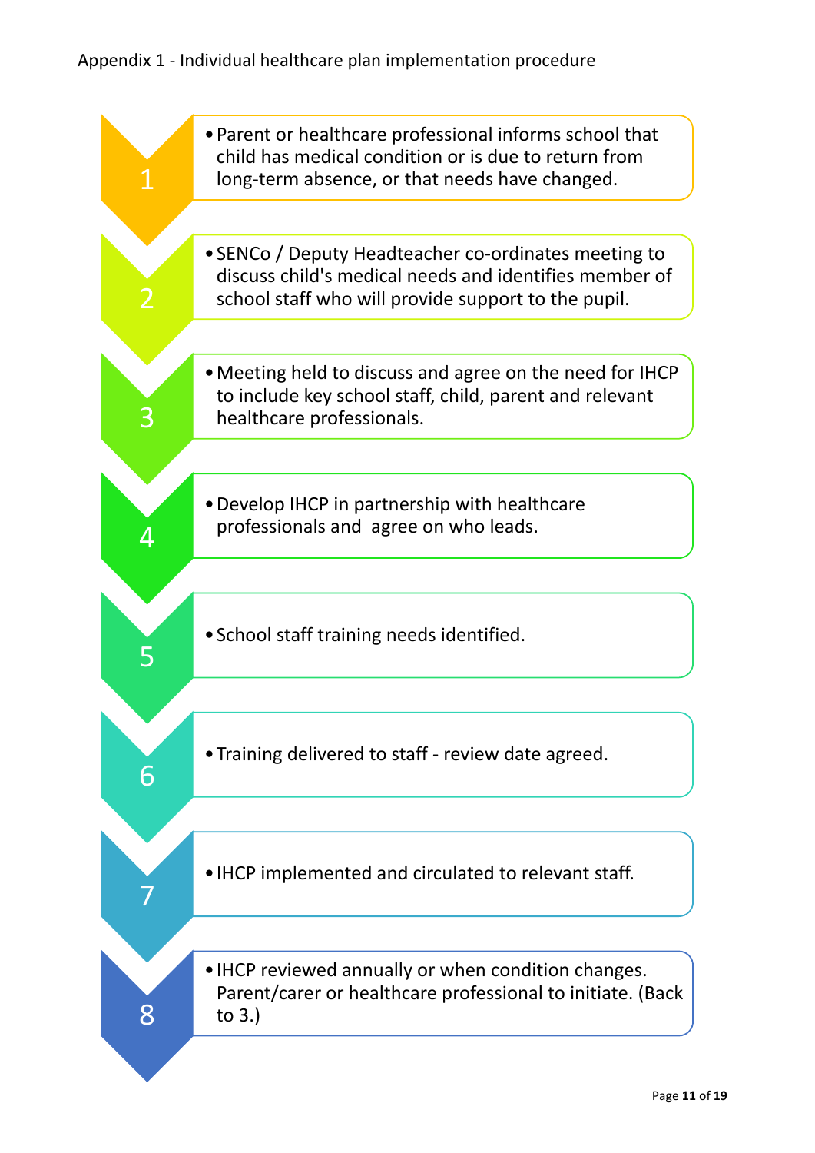# Appendix 1 - Individual healthcare plan implementation procedure

| • Parent or healthcare professional informs school that<br>child has medical condition or is due to return from<br>long-term absence, or that needs have changed.     |
|-----------------------------------------------------------------------------------------------------------------------------------------------------------------------|
|                                                                                                                                                                       |
| • SENCo / Deputy Headteacher co-ordinates meeting to<br>discuss child's medical needs and identifies member of<br>school staff who will provide support to the pupil. |
|                                                                                                                                                                       |
| • Meeting held to discuss and agree on the need for IHCP<br>to include key school staff, child, parent and relevant<br>healthcare professionals.                      |
|                                                                                                                                                                       |
| • Develop IHCP in partnership with healthcare<br>professionals and agree on who leads.                                                                                |
|                                                                                                                                                                       |
| • School staff training needs identified.                                                                                                                             |
|                                                                                                                                                                       |
| • Training delivered to staff - review date agreed.                                                                                                                   |
|                                                                                                                                                                       |
| • IHCP implemented and circulated to relevant staff.                                                                                                                  |
|                                                                                                                                                                       |
| • IHCP reviewed annually or when condition changes.<br>Parent/carer or healthcare professional to initiate. (Back<br>to $3.$ )                                        |
|                                                                                                                                                                       |
|                                                                                                                                                                       |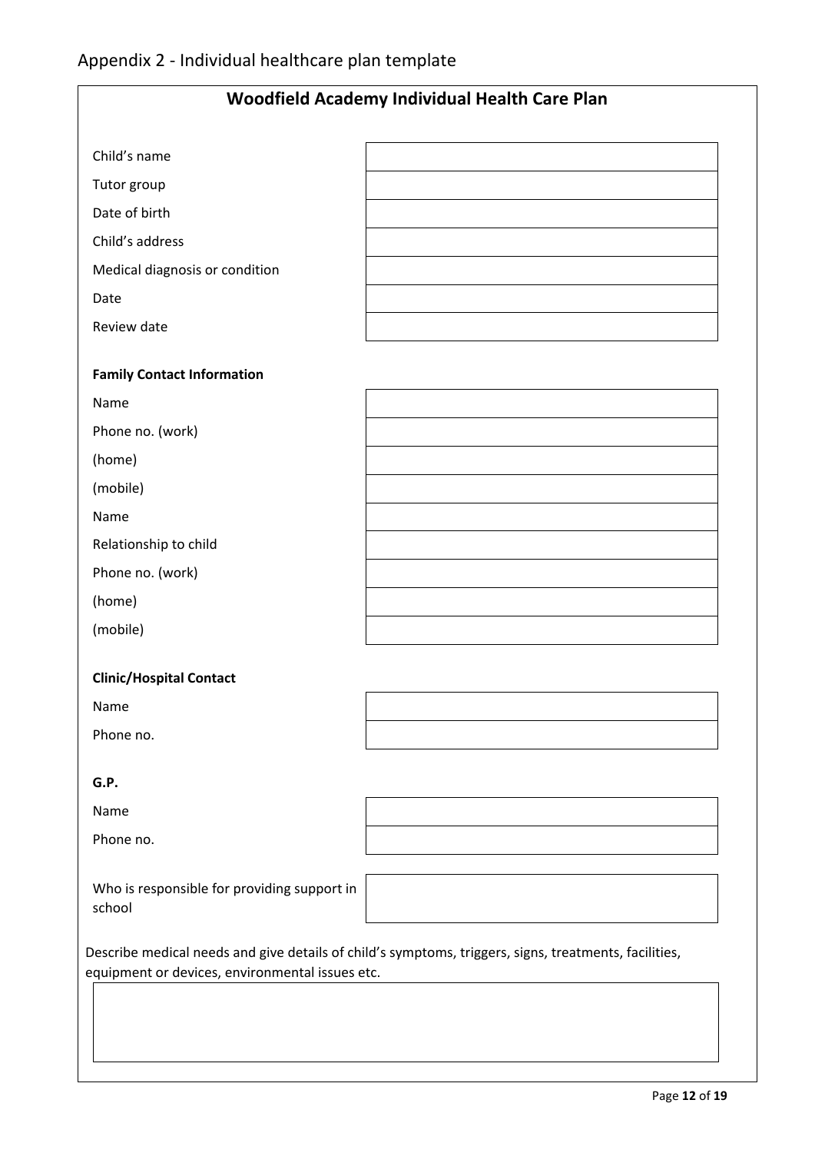| Woodfield Academy Individual Health Care Plan         |                                                                                                       |  |  |  |
|-------------------------------------------------------|-------------------------------------------------------------------------------------------------------|--|--|--|
| Child's name                                          |                                                                                                       |  |  |  |
| Tutor group                                           |                                                                                                       |  |  |  |
| Date of birth                                         |                                                                                                       |  |  |  |
| Child's address                                       |                                                                                                       |  |  |  |
| Medical diagnosis or condition                        |                                                                                                       |  |  |  |
| Date                                                  |                                                                                                       |  |  |  |
| Review date                                           |                                                                                                       |  |  |  |
| <b>Family Contact Information</b>                     |                                                                                                       |  |  |  |
| Name                                                  |                                                                                                       |  |  |  |
| Phone no. (work)                                      |                                                                                                       |  |  |  |
| (home)                                                |                                                                                                       |  |  |  |
| (mobile)                                              |                                                                                                       |  |  |  |
| Name                                                  |                                                                                                       |  |  |  |
| Relationship to child                                 |                                                                                                       |  |  |  |
| Phone no. (work)                                      |                                                                                                       |  |  |  |
| (home)                                                |                                                                                                       |  |  |  |
| (mobile)                                              |                                                                                                       |  |  |  |
| <b>Clinic/Hospital Contact</b>                        |                                                                                                       |  |  |  |
| Name                                                  |                                                                                                       |  |  |  |
| Phone no.                                             |                                                                                                       |  |  |  |
| G.P.                                                  |                                                                                                       |  |  |  |
| Name                                                  |                                                                                                       |  |  |  |
| Phone no.                                             |                                                                                                       |  |  |  |
| Who is responsible for providing support in<br>school |                                                                                                       |  |  |  |
| equipment or devices, environmental issues etc.       | Describe medical needs and give details of child's symptoms, triggers, signs, treatments, facilities, |  |  |  |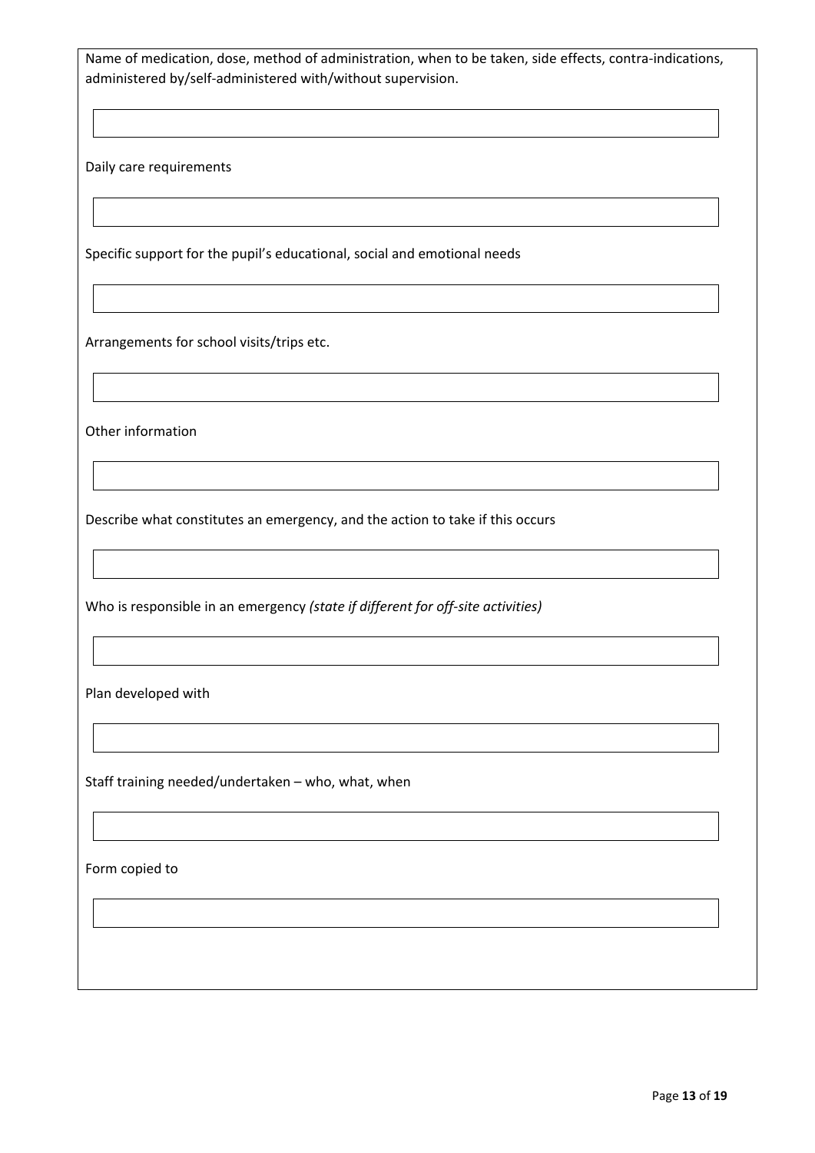Name of medication, dose, method of administration, when to be taken, side effects, contra-indications, administered by/self-administered with/without supervision.

Daily care requirements

Specific support for the pupil's educational, social and emotional needs

Arrangements for school visits/trips etc.

Other information

Describe what constitutes an emergency, and the action to take if this occurs

Who is responsible in an emergency *(state if different for off-site activities)*

Plan developed with

Staff training needed/undertaken – who, what, when

Form copied to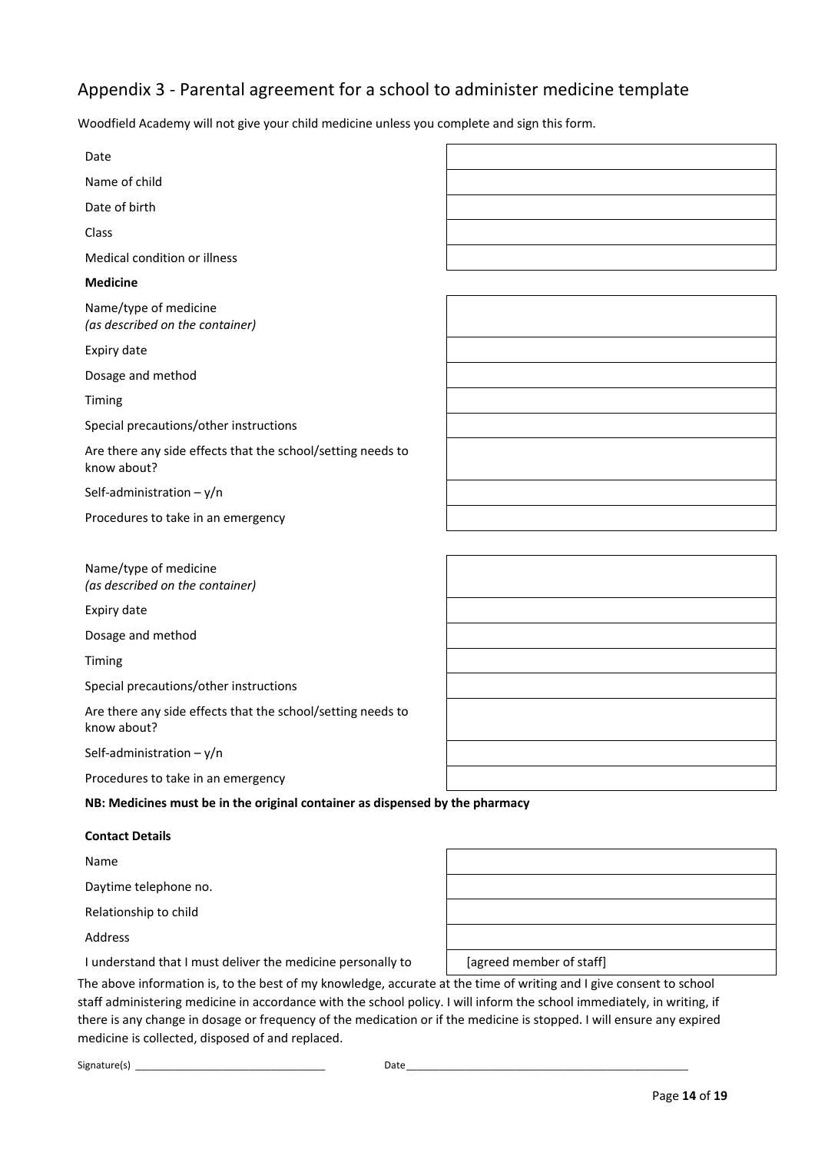## Appendix 3 - Parental agreement for a school to administer medicine template

Woodfield Academy will not give your child medicine unless you complete and sign this form.

| Date                                                                         |  |
|------------------------------------------------------------------------------|--|
| Name of child                                                                |  |
| Date of birth                                                                |  |
| Class                                                                        |  |
| Medical condition or illness                                                 |  |
| <b>Medicine</b>                                                              |  |
| Name/type of medicine<br>(as described on the container)                     |  |
| Expiry date                                                                  |  |
| Dosage and method                                                            |  |
| Timing                                                                       |  |
| Special precautions/other instructions                                       |  |
| Are there any side effects that the school/setting needs to<br>know about?   |  |
| Self-administration $-y/n$                                                   |  |
| Procedures to take in an emergency                                           |  |
|                                                                              |  |
| Name/type of medicine<br>(as described on the container)                     |  |
| Expiry date                                                                  |  |
| Dosage and method                                                            |  |
| Timing                                                                       |  |
| Special precautions/other instructions                                       |  |
| Are there any side effects that the school/setting needs to<br>know about?   |  |
| Self-administration $-y/n$                                                   |  |
| Procedures to take in an emergency                                           |  |
| NB: Medicines must be in the original container as dispensed by the pharmacy |  |
| <b>Contact Details</b>                                                       |  |
| Name                                                                         |  |
| Daytime telephone no.                                                        |  |
| Relationship to child                                                        |  |

Address

I understand that I must deliver the medicine personally to [agreed member of staff]

The above information is, to the best of my knowledge, accurate at the time of writing and I give consent to school staff administering medicine in accordance with the school policy. I will inform the school immediately, in writing, if there is any change in dosage or frequency of the medication or if the medicine is stopped. I will ensure any expired medicine is collected, disposed of and replaced.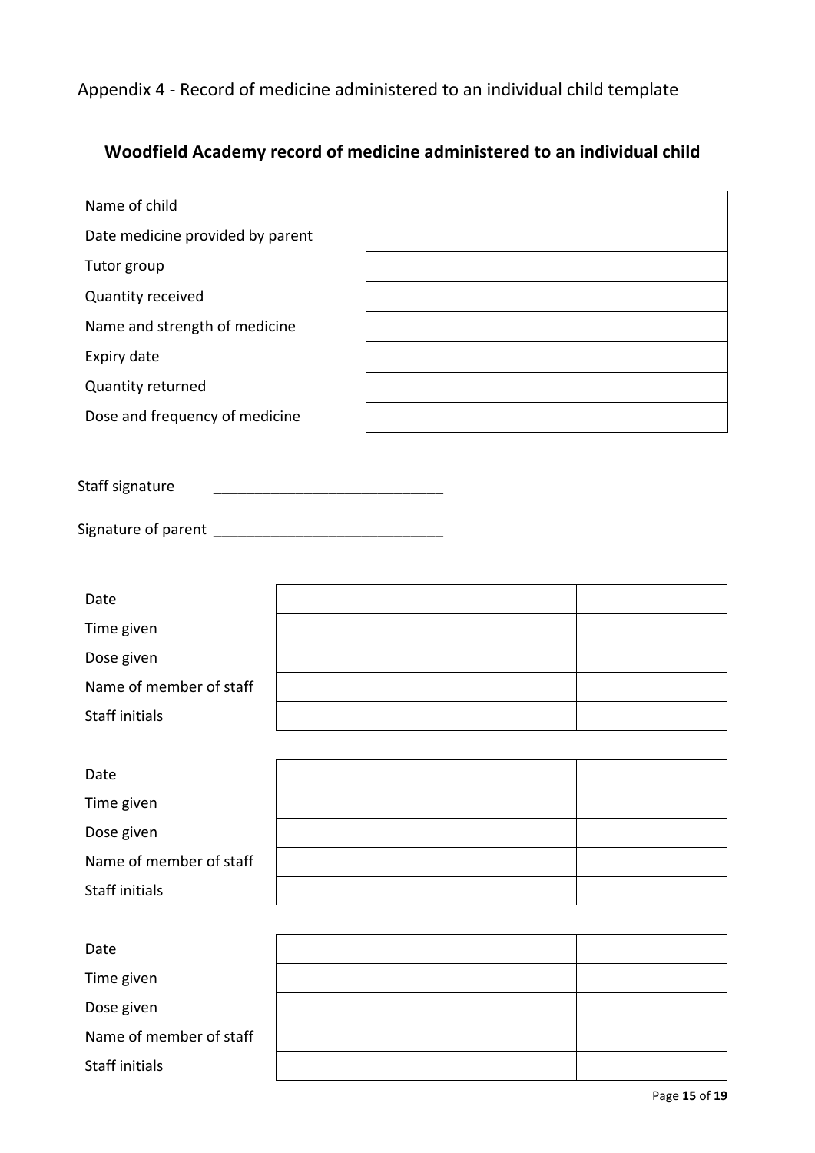Appendix 4 - Record of medicine administered to an individual child template

## **Woodfield Academy record of medicine administered to an individual child**

| Name of child                    |  |
|----------------------------------|--|
| Date medicine provided by parent |  |
| Tutor group                      |  |
| Quantity received                |  |
| Name and strength of medicine    |  |
| Expiry date                      |  |
| Quantity returned                |  |
| Dose and frequency of medicine   |  |
|                                  |  |

Staff signature \_\_\_\_\_\_\_\_\_\_\_\_\_\_\_\_\_\_\_\_\_\_\_\_\_\_\_\_

Signature of parent \_\_\_\_\_\_\_\_\_\_\_\_\_\_\_\_\_\_\_\_\_\_\_\_\_\_\_\_

| Date                    |  |  |
|-------------------------|--|--|
| Time given              |  |  |
| Dose given              |  |  |
| Name of member of staff |  |  |
| Staff initials          |  |  |
|                         |  |  |

| Date                    |  |  |
|-------------------------|--|--|
| Time given              |  |  |
| Dose given              |  |  |
| Name of member of staff |  |  |
| Staff initials          |  |  |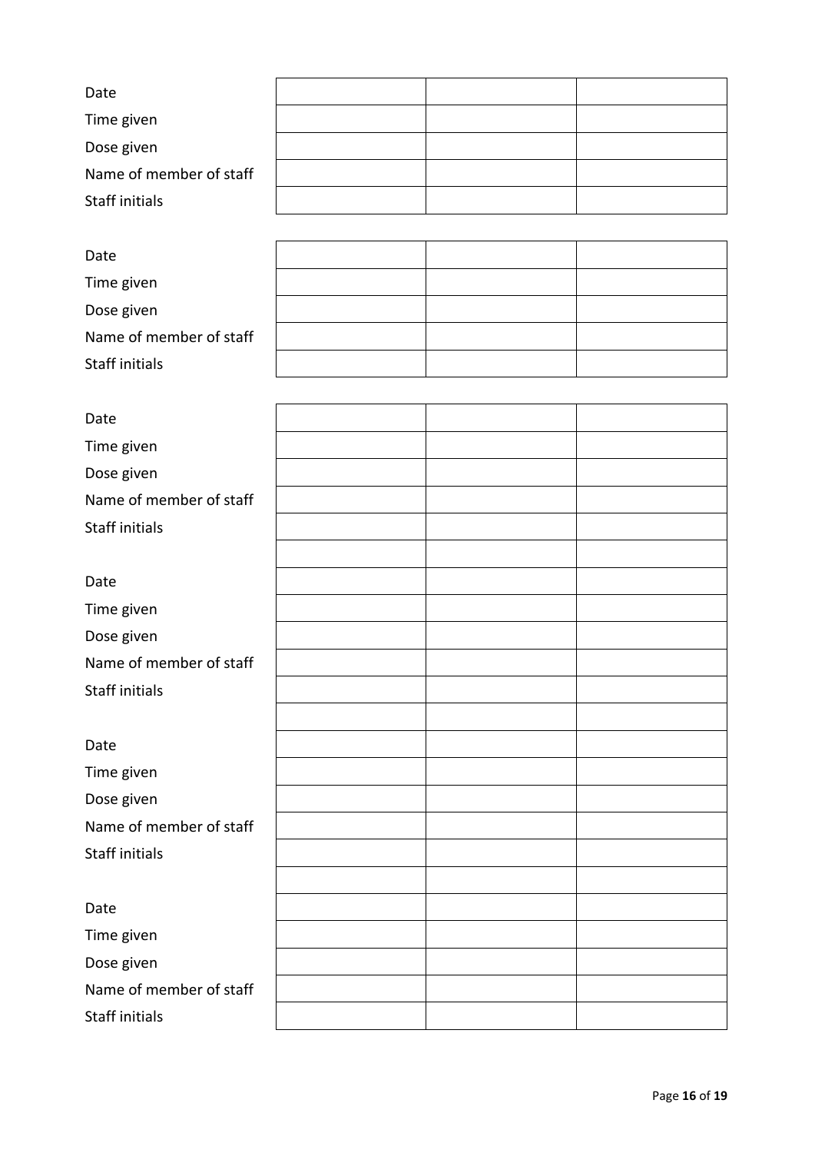| Date                    |  |  |
|-------------------------|--|--|
| Time given              |  |  |
| Dose given              |  |  |
| Name of member of staff |  |  |
| Staff initials          |  |  |
|                         |  |  |
| Date                    |  |  |
| Time given              |  |  |
| Dose given              |  |  |
| Name of member of staff |  |  |
| Staff initials          |  |  |
|                         |  |  |
| Date                    |  |  |
| Time given              |  |  |
| Dose given              |  |  |
| Name of member of staff |  |  |
| Staff initials          |  |  |
|                         |  |  |
| Date                    |  |  |
| Time given              |  |  |
| Dose given              |  |  |
| Name of member of staff |  |  |
| Staff initials          |  |  |
|                         |  |  |
| Date                    |  |  |
| Time given              |  |  |
| Dose given              |  |  |
| Name of member of staff |  |  |
| <b>Staff initials</b>   |  |  |
|                         |  |  |
| Date                    |  |  |
| Time given              |  |  |
| Dose given              |  |  |
| Name of member of staff |  |  |
| Staff initials          |  |  |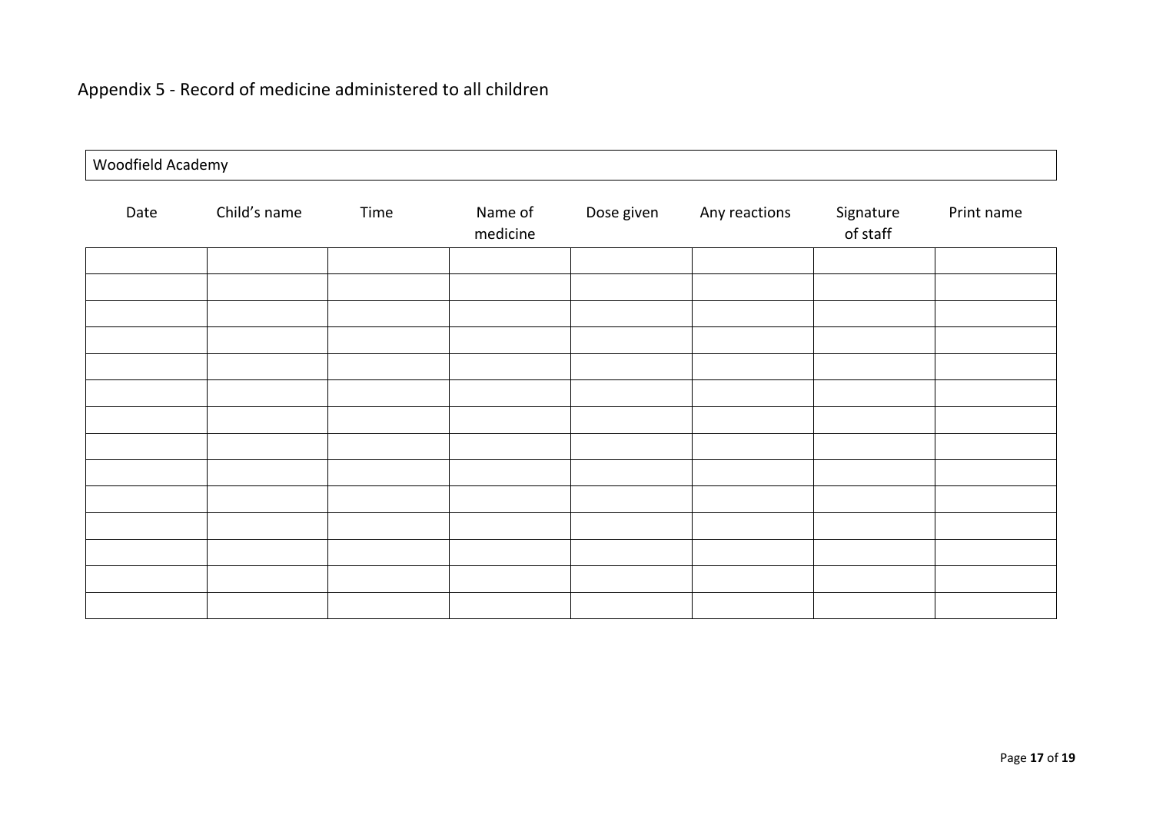## Appendix 5 - Record of medicine administered to all children

| Woodfield Academy |              |      |                     |            |               |                       |            |
|-------------------|--------------|------|---------------------|------------|---------------|-----------------------|------------|
| Date              | Child's name | Time | Name of<br>medicine | Dose given | Any reactions | Signature<br>of staff | Print name |
|                   |              |      |                     |            |               |                       |            |
|                   |              |      |                     |            |               |                       |            |
|                   |              |      |                     |            |               |                       |            |
|                   |              |      |                     |            |               |                       |            |
|                   |              |      |                     |            |               |                       |            |
|                   |              |      |                     |            |               |                       |            |
|                   |              |      |                     |            |               |                       |            |
|                   |              |      |                     |            |               |                       |            |
|                   |              |      |                     |            |               |                       |            |
|                   |              |      |                     |            |               |                       |            |
|                   |              |      |                     |            |               |                       |            |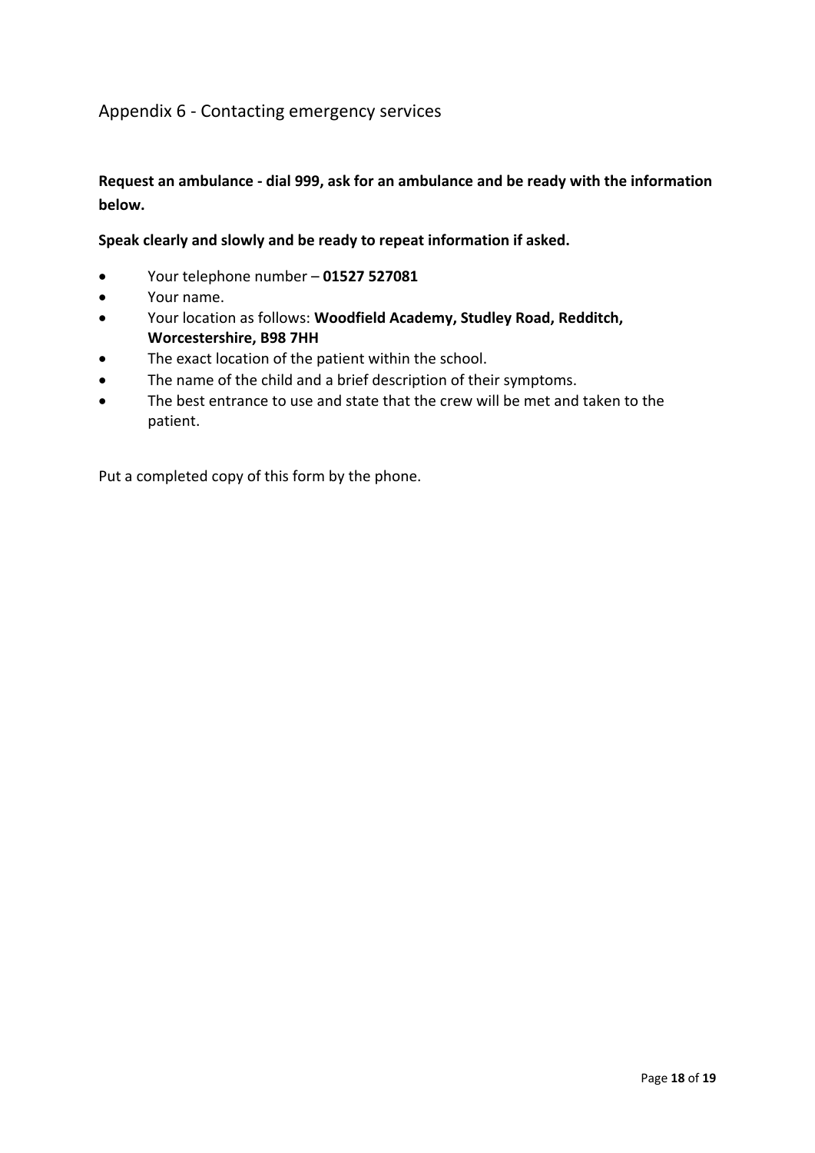### Appendix 6 - Contacting emergency services

### **Request an ambulance - dial 999, ask for an ambulance and be ready with the information below.**

#### **Speak clearly and slowly and be ready to repeat information if asked.**

- Your telephone number **01527 527081**
- Your name.
- Your location as follows: **Woodfield Academy, Studley Road, Redditch, Worcestershire, B98 7HH**
- The exact location of the patient within the school.
- The name of the child and a brief description of their symptoms.
- The best entrance to use and state that the crew will be met and taken to the patient.

Put a completed copy of this form by the phone.